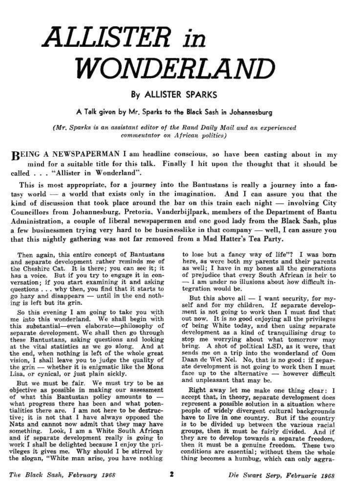## *ALLISTER in WONDERLAND*

By ALLISTER SPARKS

A Talk given by Mr. Sparks to the Black Sash in Johannesburg

*(Mr, Sparks is an assistant editor of the Rand Daily Mail and an experienced commentator on African politics)* 

REING A NEWSPAPERMAN I am headline conscious, so have been casting about in my mind for a suitable title for this talk. Finally I hit upon the thought that it should be called . - . "Allister in Wonderland'".

This is most appropriate, for a journey into the Bantustans is really a journey into a fantasy world — a world that exists only in the imagination. And I can assure you that **the**  kind of discussion that took place around the bar on this train each night — involving City Councillors from Johannesburg, Pretoria^ Vanderbijlpark, members of the Department of Bantu Administration, a couple of liberal newspapermen and one good lady from the Black Sash, plus a few businessmen trying very hard to be businesslike in that company — well, I can assure you that this nightly gathering was not far removed from a Mad Hatter's Tea Party.

Then again, this entire concept of Bantustans and separate development rather reminds me of the Cheshire Cat. It is there; you can see it; it has a voice. But if you try to engage it in conversation; if you start examining it and asking questions . . . why then, you find that it starts to go hazy and disappears — until in the end nothing is left but its grin.

So this evening I am going to take you with me into this wonderland. We shall begin with this substantial—even elaborate—philosophy of separate development. We shall then go through these Bantustans, asking questions and looking at the vital statistics as we go along. And at the end, when nothing is left of the whole great vision, I shall leave you to judge the quality of the grin — whether it is enigmatic like the Mona Lisa, or cynical, or just plain sickly-

But we must be fair. We must try to be as objective as possible in making our assessment of what this Bantustan policy amounts to what uns bandusdan poncy amounts to what progress there has been and what potentive; it is not that I have always opposed the tive; it is not that I have always opposed the<br>Nats and cannot now admit that they may have something. Look, I am a White South African and if separate development really is going to work I shall be delighted because I enjoy the privileges it gives me. Why should I be stirred by the slogan, "White man arise, you have nothing

to lose but a fancy way of life"? I was born here, as were both my parents and their parents as well; I have in my bones all the generations of prejudice that every South African is heir to — 1 am under no illusions about how difficult integration would be.

But this above all — I want security, for myself and for my children. If separate development is not going to work then I must find that out now. It is no good enjoying all the privileges of being White today, and then using separate development as a kind of tranquilising drug to stop me worrying about what tomorrow may bring. A shot of political LSD, as it were, that sends me on a trip into the wonderland of Oom sends me on a trip into the wonderland of Oom Daan de Wet Nel. No, that is no good: if separate development is not going to work then I must face up to the alternative  $-$  however difficult and unpleasant that may be.

Right away let me make one thing clear: I accept that, in theory, separate development does represent a possible solution in a situation where people of widely divergent cultural backgrounds have to live in one country. But if the country is to be divided up between the various racial groups, then it must be fairly divided. And if they are to develop towards a separate freedom, then it must be a genuine freedom. These two conditions are essential; without them the whole thing becomes a humbug, which can only aggra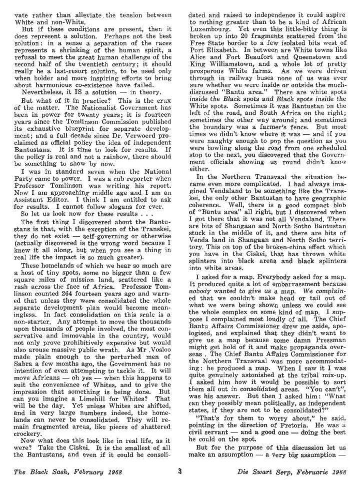vate rather than alleviate. the tension between White and non-White.

But if these conditions are present, then it does represent a solution. Perhaps not the best solution: in a sense a separation of the races represents a shrinking of the human spirit, a refusal to meet the great human challenge of the second half of the twentieth century; it should really be a last-resort solution, to be used only when bolder and more inspiring efforts to bring about harmonious co-existence have failed.

Nevertheless, it IS a solution  $-$  in theory.

But what of it in practice? This is the crux of the matter. The Nationalist Government has been in power for twenty years; it is fourteen years since the Tomlinson Commission published its exhaustive blueprint for separate development; and a full decade since Dr. Verwoerd proclaimed as official policy the idea of independent Bantustans. It is time to look for results. If the policy is real and not a rainbow, there should be something to show by now.

I was in standard seven when the National Party came to power. I was a cub reporter when Professor Tomlinson was writing his report. Now I am approaching middle age and I am an Assistant Editor. I think I am entitled to ask for results. I cannot follow slogans for ever.

So let us look now for these results . . .

The first thing I discovered about the Bantustans is that, with the exception of the Transkei, they do not exist — self-governing or otherwise (actually discovered is the wrong word because I knew it all along, but when you see a thing in real life the impact is so much greater).

These homelands of which we hear so much are a host of tiny spots, some no bigger than a few square miles of mission land, scattered like a rash across the face of Africa. Professor Tomlinson counted 264 fourteen years ago and warned that unless they were consolidated the whole separate development plan would become meaningless. In fact consolidation on this scale is a non-starter. Any attempt to move the thousands upon thousands of people involved, the most conservative and immovable in the country, would not only prove prohibitively expensive but would also arouse massive public wrath. As Mr .Vosloo made plain enough to the perturbed men of Sabra a few months ago, the Government has no intention of even attempting to tackle it. It will move Africans — oh yes — when this happens to suit the convenience of Whites, and to give the impression that something is being done. But can you imagine a Limehill for Whites? That will be the day. Yet unless Whites are shifted, and in very large numbers indeed, the homelands can never be consolidated. They will remain fragmented areas, like pieces of shattered crockery.

Now what does this look like in real life, as it were? Take the Ciskei. It is the smallest of all the Bantustans, and even if it could be consolidated and raised to independence it could aspire to nothing greater than to be a kind of African Luxembourg. Yet even this little-bitty thing is broken up into 20 fragments scattered from the Free State border to a few isolated bits west of Port Elizabeth. In between are White towns like Alice and Fort Beaufort and Queenstown and King Williamstown, and a whole lot of pretty prosperous White farms. As we were driven through in railway buses none of us was ever sure whether we were inside or outside the muchdiscussed "Bantu area." There are white spots inside the *Black* spots and Biack spots inside *the*  White spots. Sometimes it was Bantustan on the left of the road, and South Africa on the right; sometimes the other way around; and sometimes the boundary was a farmer's fence. But most times we didn't know where it was — and if you were naughty enough to pop the question as you were bowling along the road from one scheduled stop to the next, you discovered that the Government officials showing us round didn't know either.

In the Northern Transvaal the situation became even more complicated. I had always imagined Vendaland to be something like the Transkei, the only other Bantustan to have geographic coherence. Well, there is a good compact blob of "Bantu area" all right, but I discovered when I got there that it was not all Vendaland. There are bits of Shangaan and North Sotho Bantustan stuck in the middle of it, and there are bits of Venda land in Shangaan and North Sotho territory. This on top of the broken-china effect which you have in the Ciskei, that has thrown white splinters into black areas and black splinters into white areas.

I asked for a map. Everybody asked for a map. It produced quite a lot of embarrassment because *nobody* wanted to give *us* a map. *We* complained that we couldn't make head or tail out of what we were being shown unless we could see the whole complex on some kind of map. I suppose I complained most loudly of all. The Chief Bantu Affairs Commissioner drew me aside, apologised, and explained that they didn't want to give us a map because some damn Pressman might get hold of it and make propaganda overseas . The Chief Bantu Affairs Commissioner for the Northern Transvaal was more accommodating : he produced a map. When I saw it I was quite genuinely astonished at the tribal mix-up. I asked him how it would be possible to sort them all out in consolidated areas. "You can't", was his answer. But then I asked him: "What can they possibly mean politically, as independent states, if they are not to be consolidated?"

"That's for them to worry about," he said, pointing in the direction of Pretoria. He was u civil servant — and a good one — doing the best he could on the spot.

But for the purpose of this discussion let us make an assumption  $-$  a very big assumption  $-$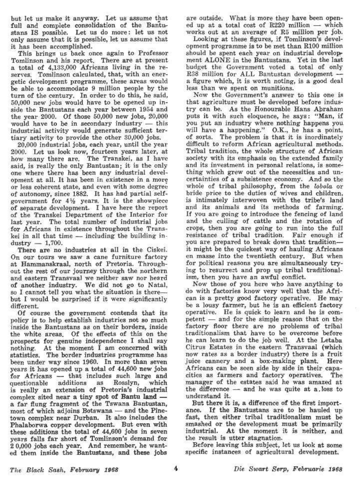but let us make it anyway. Let us assume that full and complete consolidation of the Bantustans IS possible. Let us do more: let us not only assume that it is possible, let us assume that it has been accomplished.

This brings us back once again to Professor Tomlinson and his report. There are at present a total of 4,133,000 Africans living in the reserves. Tomlinson calculated, that, with an energetic development programme, these areas would be able to accommodate 9 million people by the turn of the century. In order to do this, he said, 50,000 new jobs would have to be opened up inside the Bantustans each year between 1954 and the year 2000, Of those 50,000 new jobs, 20,000 would have to be in secondary industry — this industrial activity would generate sufficient tertiary activity to provide the other 30,000 jobs.

20,000 industrial jobs, each year, until the year 2000. Let us look now, fourteen years later, at how many there are. The Transkei, as I have said, is really the only Bantustan; it is the only one where there has been any industrial development at all. It has been in existence in a more or less coherent state, and even with some degree of autonomy, since 1882, It has had partial selfgovernment for  $4\frac{1}{2}$  years. It is the showpiece of separate development, I have here the report of the Transkei Department of the Interior for last year. The total number of industrial jobs for Africans in existence throughout the Transkei in all that time — including the building in $dustrv = 1,700.$ 

There are no industries at all in the Ciskei. On our tours we saw a cane furniture factory at Hammanskraal, north of Pretoria, Throughout the rest of our journey through the northern and eastern Transvaal we neither saw nor heard of another industry. We did not go to Natal, so I cannot tell you what the situation is there but I would be surprised if it were significantly different.

Of course the government contends that its policy is to help establish industries not so much inside the Bantustans as on their borders, inside the white areas. Of the effects of this on the prospects for genuine independence I shall say nothing. At the moment I am concerned with statistics. The border industries programme has been under way since 1960. In more than seven years it has opened up a total of 44,600 new jobs **for** Africans — that includes such large and questionable additions as Rosslyn, which is really an extension of Pretoria's industrial complex sited near a tiny spot **of Bantu land** a far flung fragment of the Tswana Bantustan, most of which adjoins Botswana — and the Pinetown complex near Durban. It also includes the Phalaborwa copper development. But even with these additions the total of 44,600 jobs in seven years falls far short of Tomlinson's demand for 2 0,000 jobs each year. And remember, he wanted them inside the Bantustans, and these jobs

are outside. What is more they have been opened up at a total cost of R220 million — which works out at an average of R5 million per job.

Looking at these figures, if Tomlinson's development programme is to be met than R100 million should be spent each year on industrial development ALONE in the Bantustans. Yet in the last budget the Government voted a total of only R38 million for ALL Bantustan development a figure which, it is worth noting, is a good deal less than we spent on munitions.

Now the Government's answer to this one is that agriculture must be developed before industry can be. As the Honourable Hans Abraham puts it with such eloquence, he says: "Man, if you put an industry where nothing happens you will have a happening." O.K., he has a point, of sorts. The problem is that it is inordinately difficult to reform African agricultural methods. Tribal tradition, the whole structure of African society with its emphasis on the extended family and its Investment in personal relations, is something which grew out of the necessities and uncertainties of a subsistence economy. And so the whole of tribal philosophy, from the lobola or bride price to the duties of wives and children, is intimately interwoven with the tribe's land and its animals and its methods of farming. If you are going to introduce the fencing of land and the culling of cattle and the rotation of crops, then you are going to run into the full resistance of tribal tradition. Fair enough if you are prepared to break down that tradition it might be the quickest way of hauling Africans en masse into the twentieth century. But when for political reasons you are simultaneously trying to resurrect and prop up tribal traditionalism, then you have an awful conflict.

Now those of you here who have anything to do with factories know very well that the African is a pretty good factory operative. He may be a lousy farmer, but he is an efficient factory operative. He is quick to learn and he is competent — and for the simple reason that on the factory floor there are no problems of tribal traditionalism that have to be overcome before he can learn to do the job well. At the Letaba Citrus Estates in the eastern Transvaal (which now rates as a border industry) there is a fruit juice cannery and a box-making plant. Here Africans can be seen side by side in their capacities as farmers and factory operatives. The manager of the estates said he was amazed at the difference — and he was quite at a.loss to understand it.

But there it is, a difference of the first importance. If the Bantustans are to be hauled up fast, then either tribal traditionalism must be smashed or the development must be primarily industrial. At the moment it is neither, and the result is utter stagnation.

Before leaving this subject, let us look at some specific instances of agricultural development.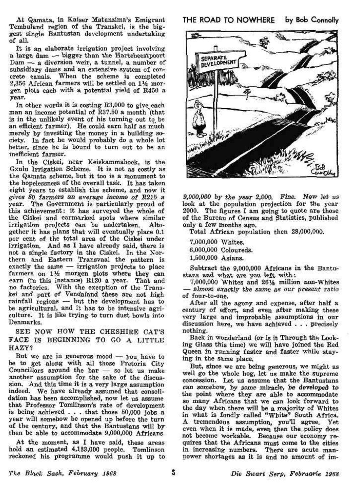At Qamata, in Kaiser Matanzima's Emigrant Tembuland region of the Transkei, is the biggest single Bantustan development undertaking of all.

It is an elaborate irrigation project involving a large dam — bigger than the Hartebeestpoort Dam — a diversion weir, a tunnel, a number of subsidiary dams and an extensive system of concrete canals. When the scheme is completed 2,356 African farmers will be settled on *V/z* morgen plots each with a potential yield of R450 a year.

In other words it is costing R3,000 to give each man an income potential of R37.50 a month (that is in the unlikely event of his turning out to be an efficient farmer). He could earn half as much merely by investing the money in a building society. In fact he would probably do a whole lot better, since he is bound to turn out to be an inefficient farmer.

In the Ciskei, near Keiskammahock, is the Gxulu Irrigation Scheme. It is not as costly as the Qamata scheme, but it too is a monument to the hopelessness of the overall task. It has taken eight years to establish the scheme, and now it *gives 80 farmers an average income of R215 a*  year. The Government is particularly proud of this achievement: it has surveyed the whole of the Ciskei and earmarked spots where similar irrigation projects can be undertaken. Altogether it has plans that will eventually place 0.1 per cent of the total area of the Ciskei under irrigation. And as I have already said, there is not a single factory in the Ciskei. In the Northern and Eastern Transvaal the pattern is exactly the same — irrigation projects to place farmers on  $1\frac{1}{2}$  morgen plots where they can earn (in this instance) R120 a year. That and no factories. With the exception of the Trans*kei* and part *of* Vendafand these are not high rainfall regions  $-$  but the development has to be agricultural, and it has to be intensive agriculture. It is like trying to turn dust bowls into Denmarks.

SEE NOW HOW THE CHESHIRE CAT'S PACE IS BEGINNING TO GO A LITTLE HAZY?

But we are in generous mood  $-$  you have to be to get along with all those Pretoria City Councillors around the bar — so let us make another assumption for the sake of the discussion. And this time it is a *very* large assumption indeed. We have already assumed that consolidation has been accomplished, now let us assume that Professor Tomlinson's rate of development is being achieved  $\ldots$  that those 50,000 jobs a year will somehow be opened up before the turn of the century, and that the Bantustans will by then be able to accommodate 9,000,000 Africans.

At the moment, as I have said, these areas hold an estimated 4,183,000 people. Tomlinson reckoned his programme would push it up to THE ROAD TO NOWHERE by Bob Connolly



*9,000,000 by the year 2,Q00. Fine. Now let us*  look at the population projection for the year 2000. The figures I am going to quote are those of the Bureau of Census and Statistics, published only a few months ago.

Total African population then 28,000,000.

7,000,000 Whites. 6,000,000 Coloureds. 1,600,000 Asians.

Subtract the 9,000,000 Africans in the Bantustans and what are you left with;

7,000,000 Whites and 26% million non-Whites — *almost exactly the same as our present ratio*  of four-to-one.

After all the agony and expense, after half a century of effort, and even after making these very large and improbable assumptions in our discussion here, we have achieved . . . precisely nothing.

Back in wonderland (or is it Through the Looking Glass this time) we will have joined the Red Queen in running faster and faster while staying in the same place.

But, since we are being generous, we might as well go the whole hog, let us make the supreme concession. Let us assume that the Bantustans can somehow, by some miracle, be developed to the point where they are able to accommodate so many Africans that we can look forward to the day when there will be a majority of Whites in what is fondly called "White" South Africa, A tremendous assumption, you'll agree. Yet even when it is made, even then the policy does not become workable. Because our economy requires that the Africans must come to the cities in increasing numbers. There are acute manpower shortages as it is and no amount of im